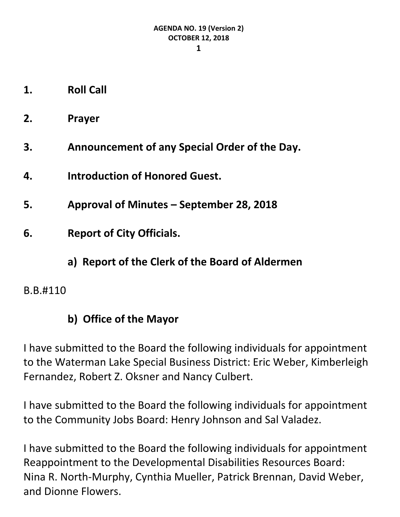- **1. Roll Call**
- **2. Prayer**
- **3. Announcement of any Special Order of the Day.**
- **4. Introduction of Honored Guest.**
- **5. Approval of Minutes – September 28, 2018**
- **6. Report of City Officials.**
	- **a) Report of the Clerk of the Board of Aldermen**
- B.B.#110

# **b) Office of the Mayor**

I have submitted to the Board the following individuals for appointment to the Waterman Lake Special Business District: Eric Weber, Kimberleigh Fernandez, Robert Z. Oksner and Nancy Culbert.

I have submitted to the Board the following individuals for appointment to the Community Jobs Board: Henry Johnson and Sal Valadez.

I have submitted to the Board the following individuals for appointment Reappointment to the Developmental Disabilities Resources Board: Nina R. North-Murphy, Cynthia Mueller, Patrick Brennan, David Weber, and Dionne Flowers.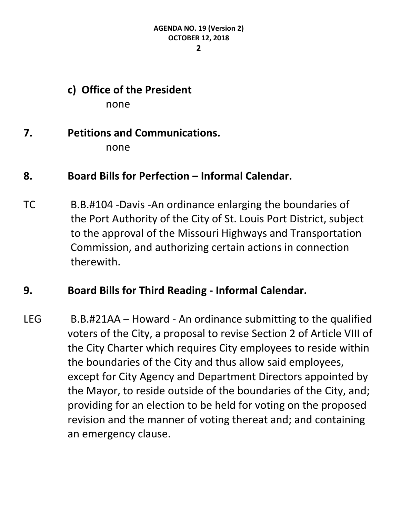**2**

**c) Office of the President** none

# **7. Petitions and Communications.** none

# **8. Board Bills for Perfection – Informal Calendar.**

TC B.B.#104 -Davis -An ordinance enlarging the boundaries of the Port Authority of the City of St. Louis Port District, subject to the approval of the Missouri Highways and Transportation Commission, and authorizing certain actions in connection therewith.

## **9. Board Bills for Third Reading - Informal Calendar.**

LEG B.B.#21AA – Howard - An ordinance submitting to the qualified voters of the City, a proposal to revise Section 2 of Article VIII of the City Charter which requires City employees to reside within the boundaries of the City and thus allow said employees, except for City Agency and Department Directors appointed by the Mayor, to reside outside of the boundaries of the City, and; providing for an election to be held for voting on the proposed revision and the manner of voting thereat and; and containing an emergency clause.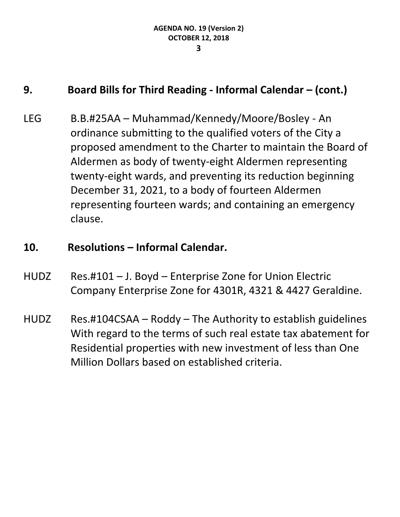### **9. Board Bills for Third Reading - Informal Calendar – (cont.)**

LEG B.B.#25AA – Muhammad/Kennedy/Moore/Bosley - An ordinance submitting to the qualified voters of the City a proposed amendment to the Charter to maintain the Board of Aldermen as body of twenty-eight Aldermen representing twenty-eight wards, and preventing its reduction beginning December 31, 2021, to a body of fourteen Aldermen representing fourteen wards; and containing an emergency clause.

#### **10. Resolutions – Informal Calendar.**

- HUDZ Res.#101 J. Boyd Enterprise Zone for Union Electric Company Enterprise Zone for 4301R, 4321 & 4427 Geraldine.
- HUDZ Res.#104CSAA Roddy The Authority to establish guidelines With regard to the terms of such real estate tax abatement for Residential properties with new investment of less than One Million Dollars based on established criteria.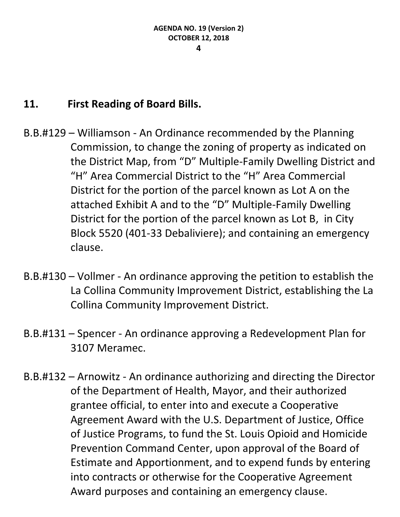# **11. First Reading of Board Bills.**

- B.B.#129 Williamson An Ordinance recommended by the Planning Commission, to change the zoning of property as indicated on the District Map, from "D" Multiple-Family Dwelling District and "H" Area Commercial District to the "H" Area Commercial District for the portion of the parcel known as Lot A on the attached Exhibit A and to the "D" Multiple-Family Dwelling District for the portion of the parcel known as Lot B, in City Block 5520 (401-33 Debaliviere); and containing an emergency clause.
- B.B.#130 Vollmer An ordinance approving the petition to establish the La Collina Community Improvement District, establishing the La Collina Community Improvement District.
- B.B.#131 Spencer An ordinance approving a Redevelopment Plan for 3107 Meramec.
- B.B.#132 Arnowitz An ordinance authorizing and directing the Director of the Department of Health, Mayor, and their authorized grantee official, to enter into and execute a Cooperative Agreement Award with the U.S. Department of Justice, Office of Justice Programs, to fund the St. Louis Opioid and Homicide Prevention Command Center, upon approval of the Board of Estimate and Apportionment, and to expend funds by entering into contracts or otherwise for the Cooperative Agreement Award purposes and containing an emergency clause.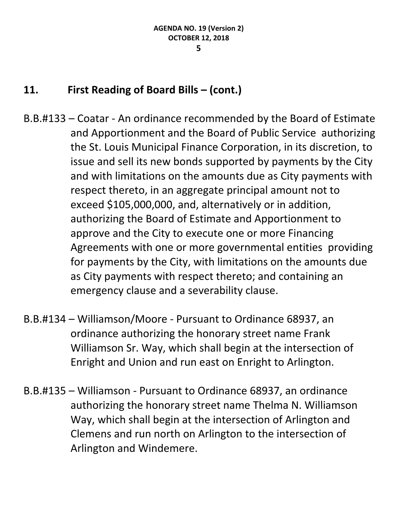## **11. First Reading of Board Bills – (cont.)**

- B.B.#133 Coatar An ordinance recommended by the Board of Estimate and Apportionment and the Board of Public Service authorizing the St. Louis Municipal Finance Corporation, in its discretion, to issue and sell its new bonds supported by payments by the City and with limitations on the amounts due as City payments with respect thereto, in an aggregate principal amount not to exceed \$105,000,000, and, alternatively or in addition, authorizing the Board of Estimate and Apportionment to approve and the City to execute one or more Financing Agreements with one or more governmental entities providing for payments by the City, with limitations on the amounts due as City payments with respect thereto; and containing an emergency clause and a severability clause.
- B.B.#134 Williamson/Moore Pursuant to Ordinance 68937, an ordinance authorizing the honorary street name Frank Williamson Sr. Way, which shall begin at the intersection of Enright and Union and run east on Enright to Arlington.
- B.B.#135 Williamson Pursuant to Ordinance 68937, an ordinance authorizing the honorary street name Thelma N. Williamson Way, which shall begin at the intersection of Arlington and Clemens and run north on Arlington to the intersection of Arlington and Windemere.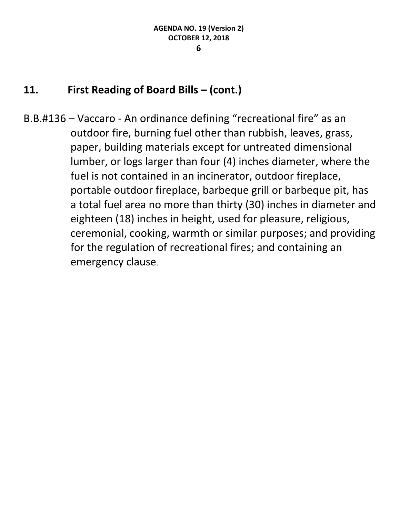## **11. First Reading of Board Bills – (cont.)**

B.B.#136 – Vaccaro - An ordinance defining "recreational fire" as an outdoor fire, burning fuel other than rubbish, leaves, grass, paper, building materials except for untreated dimensional lumber, or logs larger than four (4) inches diameter, where the fuel is not contained in an incinerator, outdoor fireplace, portable outdoor fireplace, barbeque grill or barbeque pit, has a total fuel area no more than thirty (30) inches in diameter and eighteen (18) inches in height, used for pleasure, religious, ceremonial, cooking, warmth or similar purposes; and providing for the regulation of recreational fires; and containing an emergency clause.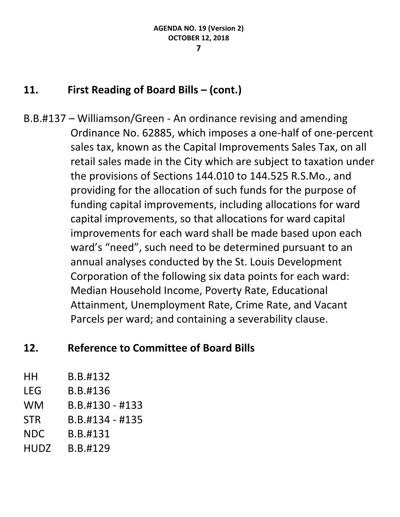### **11. First Reading of Board Bills – (cont.)**

B.B.#137 – Williamson/Green - An ordinance revising and amending Ordinance No. 62885, which imposes a one-half of one-percent sales tax, known as the Capital Improvements Sales Tax, on all retail sales made in the City which are subject to taxation under the provisions of Sections 144.010 to 144.525 R.S.Mo., and providing for the allocation of such funds for the purpose of funding capital improvements, including allocations for ward capital improvements, so that allocations for ward capital improvements for each ward shall be made based upon each ward's "need", such need to be determined pursuant to an annual analyses conducted by the St. Louis Development Corporation of the following six data points for each ward: Median Household Income, Poverty Rate, Educational Attainment, Unemployment Rate, Crime Rate, and Vacant Parcels per ward; and containing a severability clause.

## **12. Reference to Committee of Board Bills**

| HН          | B.B.#132          |
|-------------|-------------------|
| LEG         | B.B.#136          |
| <b>WM</b>   | $B.B.#130 - #133$ |
| <b>STR</b>  | $B.B.#134 - #135$ |
| <b>NDC</b>  | B.B.#131          |
| <b>HUDZ</b> | B.B.#129          |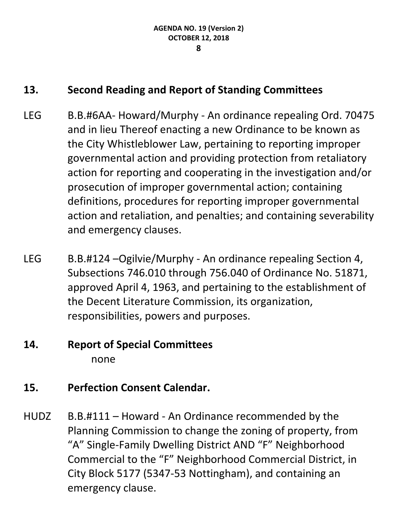## **13. Second Reading and Report of Standing Committees**

- LEG B.B.#6AA- Howard/Murphy An ordinance repealing Ord. 70475 and in lieu Thereof enacting a new Ordinance to be known as the City Whistleblower Law, pertaining to reporting improper governmental action and providing protection from retaliatory action for reporting and cooperating in the investigation and/or prosecution of improper governmental action; containing definitions, procedures for reporting improper governmental action and retaliation, and penalties; and containing severability and emergency clauses.
- LEG B.B.#124 –Ogilvie/Murphy An ordinance repealing Section 4, Subsections 746.010 through 756.040 of Ordinance No. 51871, approved April 4, 1963, and pertaining to the establishment of the Decent Literature Commission, its organization, responsibilities, powers and purposes.

# **14. Report of Special Committees** none

## **15. Perfection Consent Calendar.**

HUDZ B.B.#111 – Howard - An Ordinance recommended by the Planning Commission to change the zoning of property, from "A" Single-Family Dwelling District AND "F" Neighborhood Commercial to the "F" Neighborhood Commercial District, in City Block 5177 (5347-53 Nottingham), and containing an emergency clause.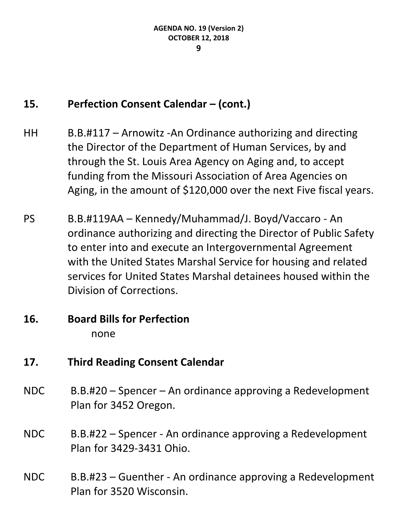#### **9**

# **15. Perfection Consent Calendar – (cont.)**

- HH B.B.#117 Arnowitz -An Ordinance authorizing and directing the Director of the Department of Human Services, by and through the St. Louis Area Agency on Aging and, to accept funding from the Missouri Association of Area Agencies on Aging, in the amount of \$120,000 over the next Five fiscal years.
- PS B.B.#119AA Kennedy/Muhammad/J. Boyd/Vaccaro An ordinance authorizing and directing the Director of Public Safety to enter into and execute an Intergovernmental Agreement with the United States Marshal Service for housing and related services for United States Marshal detainees housed within the Division of Corrections.

### **16. Board Bills for Perfection** none

## **17. Third Reading Consent Calendar**

- NDC B.B.#20 Spencer An ordinance approving a Redevelopment Plan for 3452 Oregon.
- NDC B.B.#22 Spencer An ordinance approving a Redevelopment Plan for 3429-3431 Ohio.
- NDC B.B.#23 Guenther An ordinance approving a Redevelopment Plan for 3520 Wisconsin.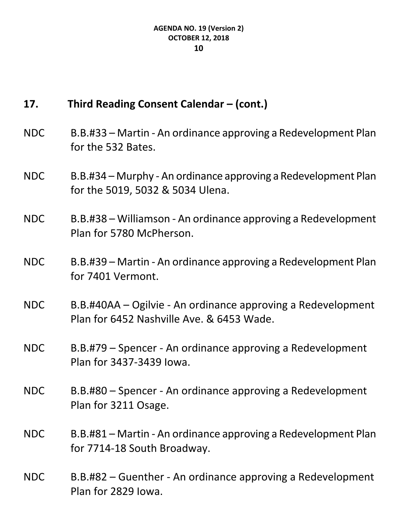## **17. Third Reading Consent Calendar – (cont.)**

- NDC B.B.#33 Martin An ordinance approving a Redevelopment Plan for the 532 Bates.
- NDC B.B.#34 Murphy An ordinance approving a Redevelopment Plan for the 5019, 5032 & 5034 Ulena.
- NDC B.B.#38 Williamson An ordinance approving a Redevelopment Plan for 5780 McPherson.
- NDC B.B.#39 Martin An ordinance approving a Redevelopment Plan for 7401 Vermont.
- NDC B.B.#40AA Ogilvie An ordinance approving a Redevelopment Plan for 6452 Nashville Ave. & 6453 Wade.
- NDC B.B.#79 Spencer An ordinance approving a Redevelopment Plan for 3437-3439 Iowa.
- NDC B.B.#80 Spencer An ordinance approving a Redevelopment Plan for 3211 Osage.
- NDC B.B.#81 Martin An ordinance approving a Redevelopment Plan for 7714-18 South Broadway.
- NDC B.B.#82 Guenther An ordinance approving a Redevelopment Plan for 2829 Iowa.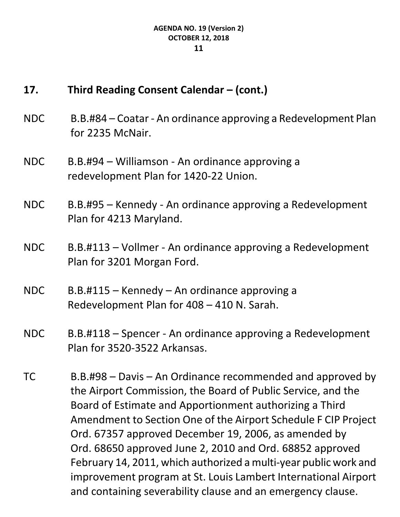## **17. Third Reading Consent Calendar – (cont.)**

- NDC B.B.#84 Coatar An ordinance approving a Redevelopment Plan for 2235 McNair.
- NDC B.B.#94 Williamson An ordinance approving a redevelopment Plan for 1420-22 Union.
- NDC B.B.#95 Kennedy An ordinance approving a Redevelopment Plan for 4213 Maryland.
- NDC B.B.#113 Vollmer An ordinance approving a Redevelopment Plan for 3201 Morgan Ford.
- NDC B.B.#115 Kennedy An ordinance approving a Redevelopment Plan for 408 – 410 N. Sarah.
- NDC B.B.#118 Spencer An ordinance approving a Redevelopment Plan for 3520-3522 Arkansas.
- TC B.B.#98 Davis An Ordinance recommended and approved by the Airport Commission, the Board of Public Service, and the Board of Estimate and Apportionment authorizing a Third Amendment to Section One of the Airport Schedule F CIP Project Ord. 67357 approved December 19, 2006, as amended by Ord. 68650 approved June 2, 2010 and Ord. 68852 approved February 14, 2011, which authorized a multi-year public work and improvement program at St. Louis Lambert International Airport and containing severability clause and an emergency clause.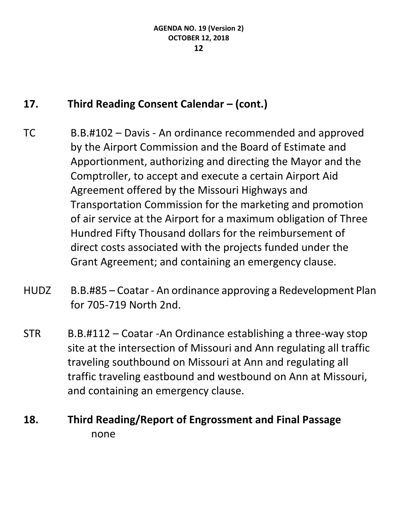# **17. Third Reading Consent Calendar – (cont.)**

- TC B.B.#102 Davis An ordinance recommended and approved by the Airport Commission and the Board of Estimate and Apportionment, authorizing and directing the Mayor and the Comptroller, to accept and execute a certain Airport Aid Agreement offered by the Missouri Highways and Transportation Commission for the marketing and promotion of air service at the Airport for a maximum obligation of Three Hundred Fifty Thousand dollars for the reimbursement of direct costs associated with the projects funded under the Grant Agreement; and containing an emergency clause.
- HUDZ B.B.#85 Coatar An ordinance approving a Redevelopment Plan for 705-719 North 2nd.
- STR B.B.#112 Coatar -An Ordinance establishing a three-way stop site at the intersection of Missouri and Ann regulating all traffic traveling southbound on Missouri at Ann and regulating all traffic traveling eastbound and westbound on Ann at Missouri, and containing an emergency clause.

# **18. Third Reading/Report of Engrossment and Final Passage** none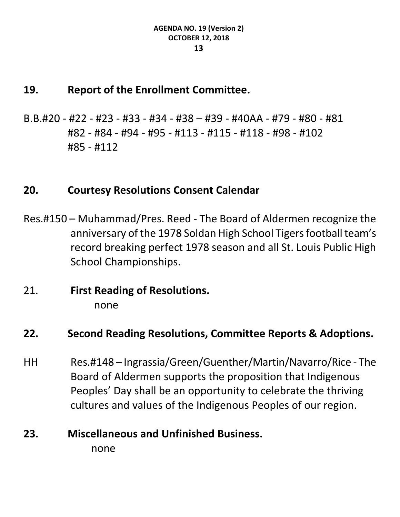#### **19. Report of the Enrollment Committee.**

B.B.#20 - #22 - #23 - #33 - #34 - #38 – #39 - #40AA - #79 - #80 - #81 #82 - #84 - #94 - #95 - #113 - #115 - #118 - #98 - #102 #85 - #112

#### **20. Courtesy Resolutions Consent Calendar**

- Res.#150 Muhammad/Pres. Reed The Board of Aldermen recognize the anniversary of the 1978 Soldan High School Tigers football team's record breaking perfect 1978 season and all St. Louis Public High School Championships.
- 21. **First Reading of Resolutions.** none

#### **22. Second Reading Resolutions, Committee Reports & Adoptions.**

HH Res.#148 – Ingrassia/Green/Guenther/Martin/Navarro/Rice - The Board of Aldermen supports the proposition that Indigenous Peoples' Day shall be an opportunity to celebrate the thriving cultures and values of the Indigenous Peoples of our region.

# **23. Miscellaneous and Unfinished Business.**

none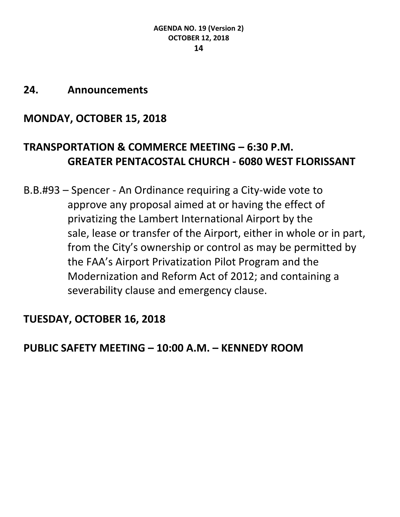#### **24. Announcements**

# **MONDAY, OCTOBER 15, 2018**

# **TRANSPORTATION & COMMERCE MEETING – 6:30 P.M. GREATER PENTACOSTAL CHURCH - 6080 WEST FLORISSANT**

B.B.#93 – Spencer - An Ordinance requiring a City-wide vote to approve any proposal aimed at or having the effect of privatizing the Lambert International Airport by the sale, lease or transfer of the Airport, either in whole or in part, from the City's ownership or control as may be permitted by the FAA's Airport Privatization Pilot Program and the Modernization and Reform Act of 2012; and containing a severability clause and emergency clause.

## **TUESDAY, OCTOBER 16, 2018**

## **PUBLIC SAFETY MEETING – 10:00 A.M. – KENNEDY ROOM**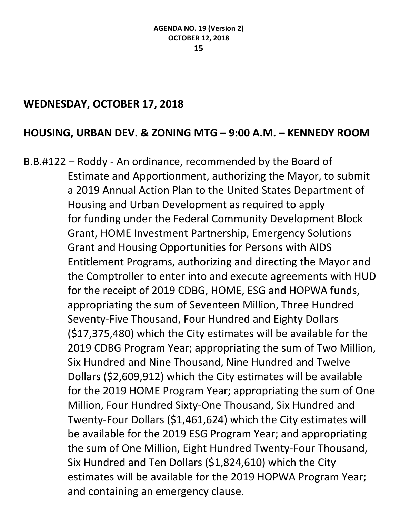#### **WEDNESDAY, OCTOBER 17, 2018**

### **HOUSING, URBAN DEV. & ZONING MTG – 9:00 A.M. – KENNEDY ROOM**

B.B.#122 – Roddy - An ordinance, recommended by the Board of Estimate and Apportionment, authorizing the Mayor, to submit a 2019 Annual Action Plan to the United States Department of Housing and Urban Development as required to apply for funding under the Federal Community Development Block Grant, HOME Investment Partnership, Emergency Solutions Grant and Housing Opportunities for Persons with AIDS Entitlement Programs, authorizing and directing the Mayor and the Comptroller to enter into and execute agreements with HUD for the receipt of 2019 CDBG, HOME, ESG and HOPWA funds, appropriating the sum of Seventeen Million, Three Hundred Seventy-Five Thousand, Four Hundred and Eighty Dollars (\$17,375,480) which the City estimates will be available for the 2019 CDBG Program Year; appropriating the sum of Two Million, Six Hundred and Nine Thousand, Nine Hundred and Twelve Dollars (\$2,609,912) which the City estimates will be available for the 2019 HOME Program Year; appropriating the sum of One Million, Four Hundred Sixty-One Thousand, Six Hundred and Twenty-Four Dollars (\$1,461,624) which the City estimates will be available for the 2019 ESG Program Year; and appropriating the sum of One Million, Eight Hundred Twenty-Four Thousand, Six Hundred and Ten Dollars (\$1,824,610) which the City estimates will be available for the 2019 HOPWA Program Year; and containing an emergency clause.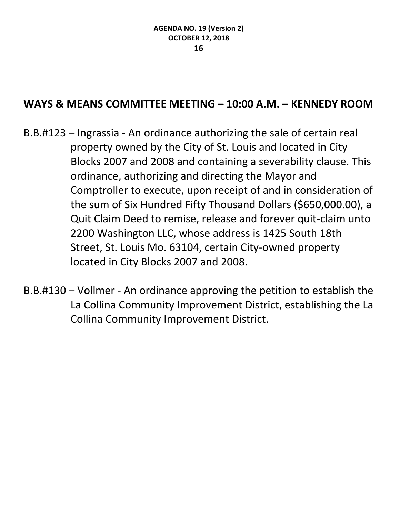### **WAYS & MEANS COMMITTEE MEETING – 10:00 A.M. – KENNEDY ROOM**

- B.B.#123 Ingrassia An ordinance authorizing the sale of certain real property owned by the City of St. Louis and located in City Blocks 2007 and 2008 and containing a severability clause. This ordinance, authorizing and directing the Mayor and Comptroller to execute, upon receipt of and in consideration of the sum of Six Hundred Fifty Thousand Dollars (\$650,000.00), a Quit Claim Deed to remise, release and forever quit-claim unto 2200 Washington LLC, whose address is 1425 South 18th Street, St. Louis Mo. 63104, certain City-owned property located in City Blocks 2007 and 2008.
- B.B.#130 Vollmer An ordinance approving the petition to establish the La Collina Community Improvement District, establishing the La Collina Community Improvement District.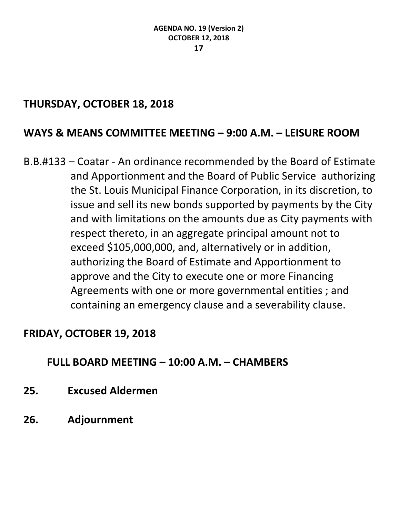### **THURSDAY, OCTOBER 18, 2018**

### **WAYS & MEANS COMMITTEE MEETING – 9:00 A.M. – LEISURE ROOM**

B.B.#133 – Coatar - An ordinance recommended by the Board of Estimate and Apportionment and the Board of Public Service authorizing the St. Louis Municipal Finance Corporation, in its discretion, to issue and sell its new bonds supported by payments by the City and with limitations on the amounts due as City payments with respect thereto, in an aggregate principal amount not to exceed \$105,000,000, and, alternatively or in addition, authorizing the Board of Estimate and Apportionment to approve and the City to execute one or more Financing Agreements with one or more governmental entities ; and containing an emergency clause and a severability clause.

### **FRIDAY, OCTOBER 19, 2018**

### **FULL BOARD MEETING – 10:00 A.M. – CHAMBERS**

- **25. Excused Aldermen**
- **26. Adjournment**